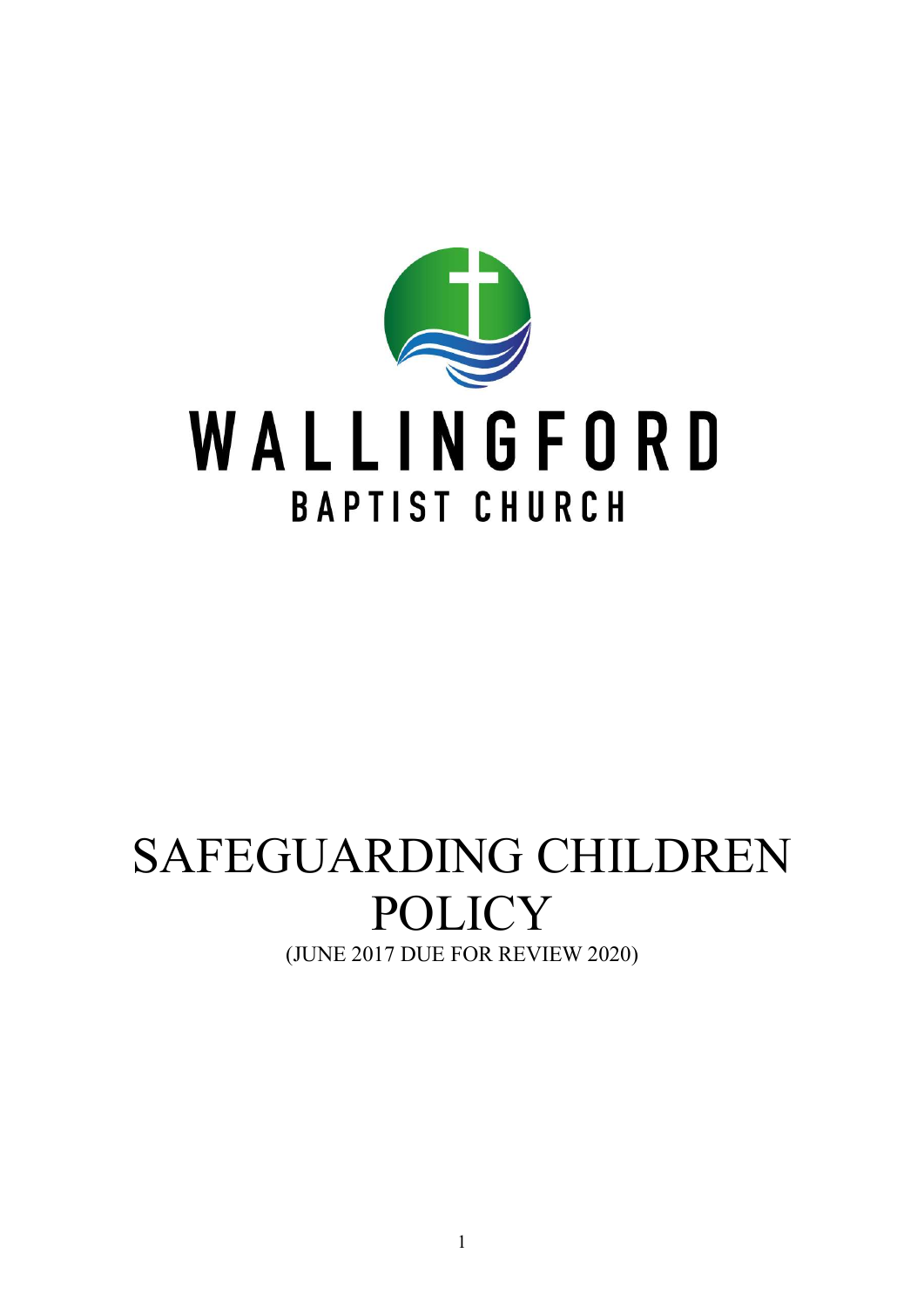

# SAFEGUARDING CHILDREN POLICY (JUNE 2017 DUE FOR REVIEW 2020)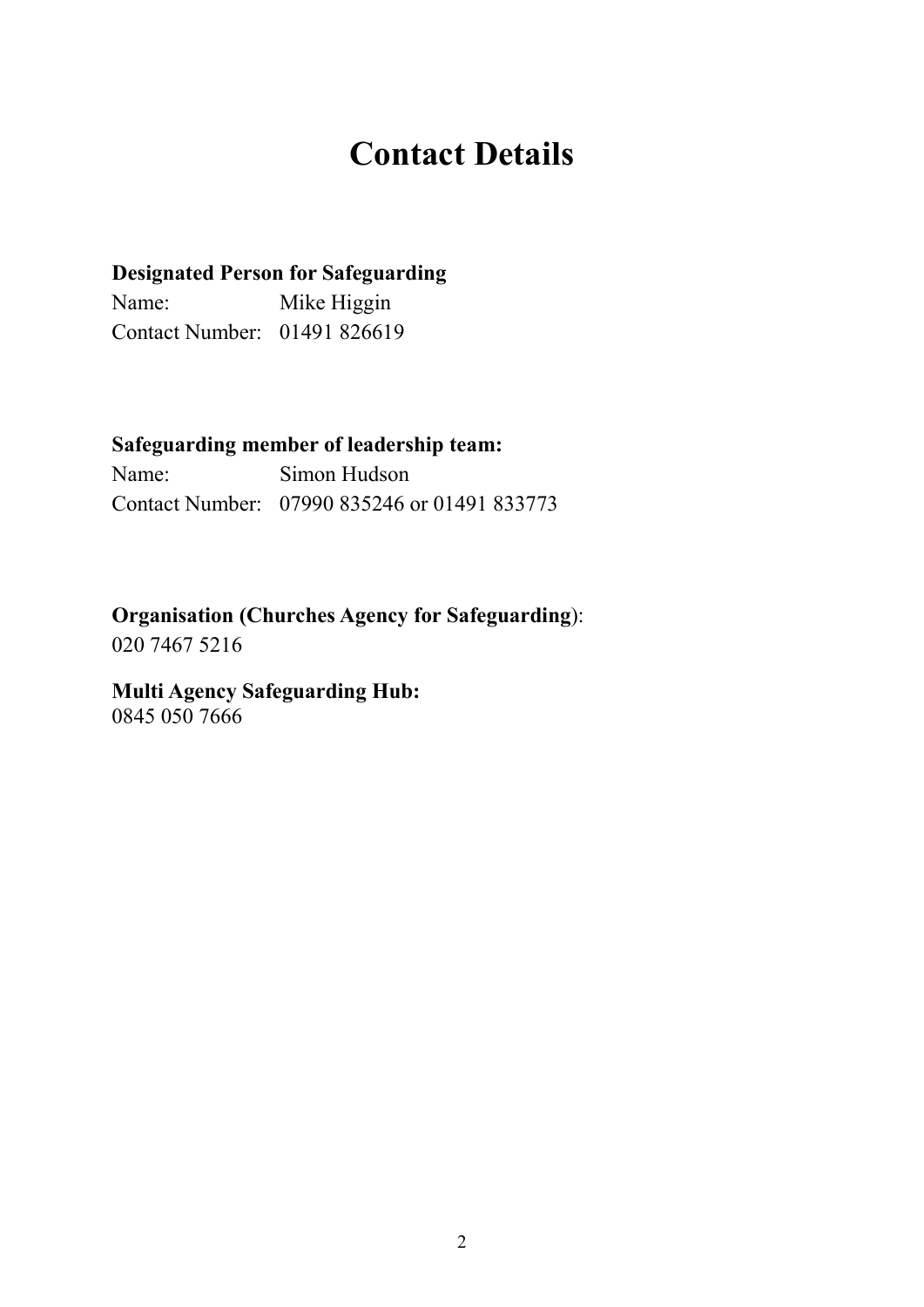## Contact Details

#### Designated Person for Safeguarding

Name: Mike Higgin Contact Number: 01491 826619

#### Safeguarding member of leadership team:

Name: Simon Hudson Contact Number: 07990 835246 or 01491 833773

#### Organisation (Churches Agency for Safeguarding):

020 7467 5216

#### Multi Agency Safeguarding Hub: 0845 050 7666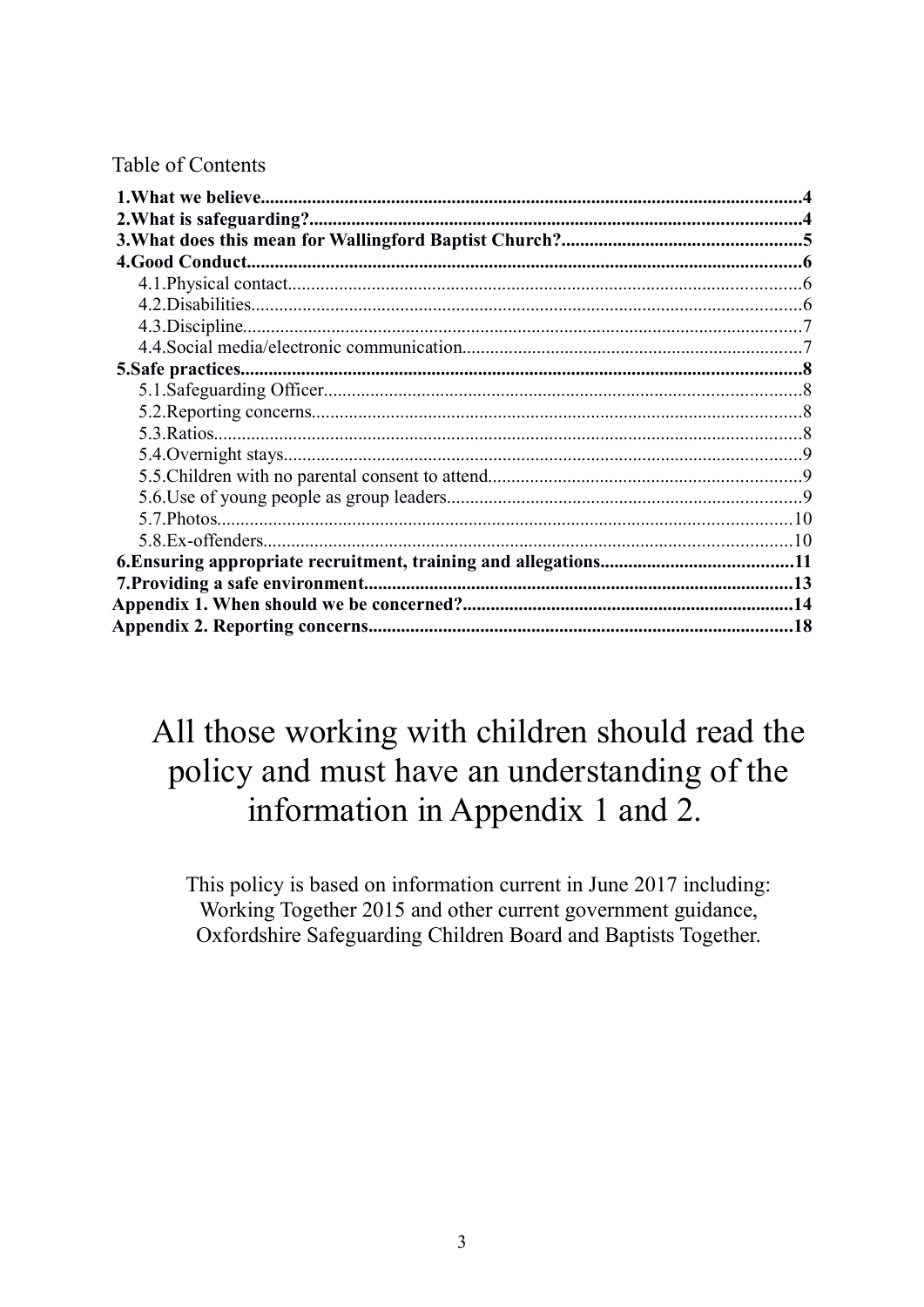#### Table of Contents

## All those working with children should read the policy and must have an understanding of the information in Appendix 1 and 2.

This policy is based on information current in June 2017 including: Working Together 2015 and other current government guidance, Oxfordshire Safeguarding Children Board and Baptists Together.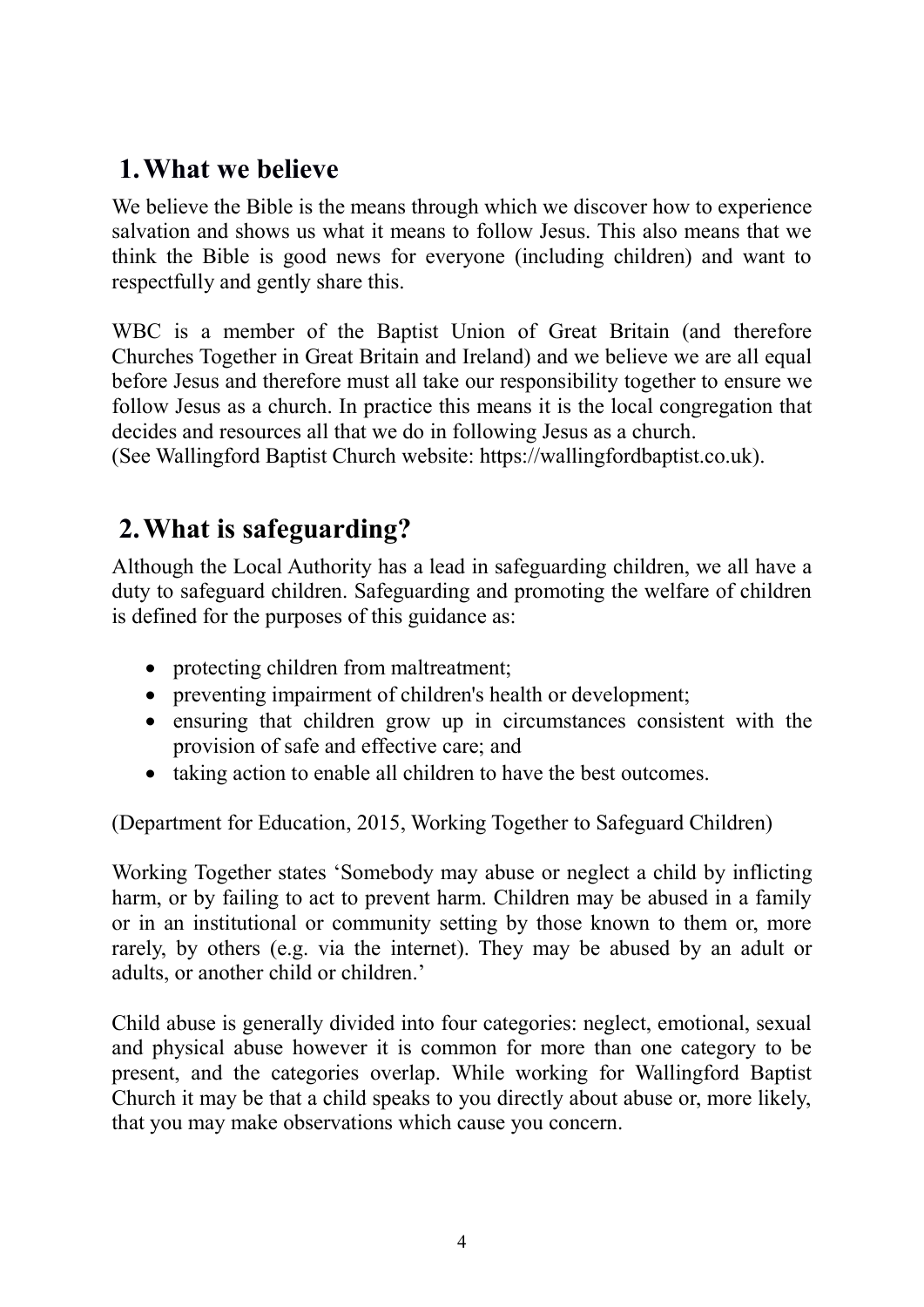### 1.What we believe

We believe the Bible is the means through which we discover how to experience salvation and shows us what it means to follow Jesus. This also means that we think the Bible is good news for everyone (including children) and want to respectfully and gently share this.

WBC is a member of the Baptist Union of Great Britain (and therefore Churches Together in Great Britain and Ireland) and we believe we are all equal before Jesus and therefore must all take our responsibility together to ensure we follow Jesus as a church. In practice this means it is the local congregation that decides and resources all that we do in following Jesus as a church.

(See Wallingford Baptist Church website: https://wallingfordbaptist.co.uk).

### 2.What is safeguarding?

Although the Local Authority has a lead in safeguarding children, we all have a duty to safeguard children. Safeguarding and promoting the welfare of children is defined for the purposes of this guidance as:

- protecting children from maltreatment;
- preventing impairment of children's health or development;
- ensuring that children grow up in circumstances consistent with the provision of safe and effective care; and
- taking action to enable all children to have the best outcomes.

(Department for Education, 2015, Working Together to Safeguard Children)

Working Together states 'Somebody may abuse or neglect a child by inflicting harm, or by failing to act to prevent harm. Children may be abused in a family or in an institutional or community setting by those known to them or, more rarely, by others (e.g. via the internet). They may be abused by an adult or adults, or another child or children.'

Child abuse is generally divided into four categories: neglect, emotional, sexual and physical abuse however it is common for more than one category to be present, and the categories overlap. While working for Wallingford Baptist Church it may be that a child speaks to you directly about abuse or, more likely, that you may make observations which cause you concern.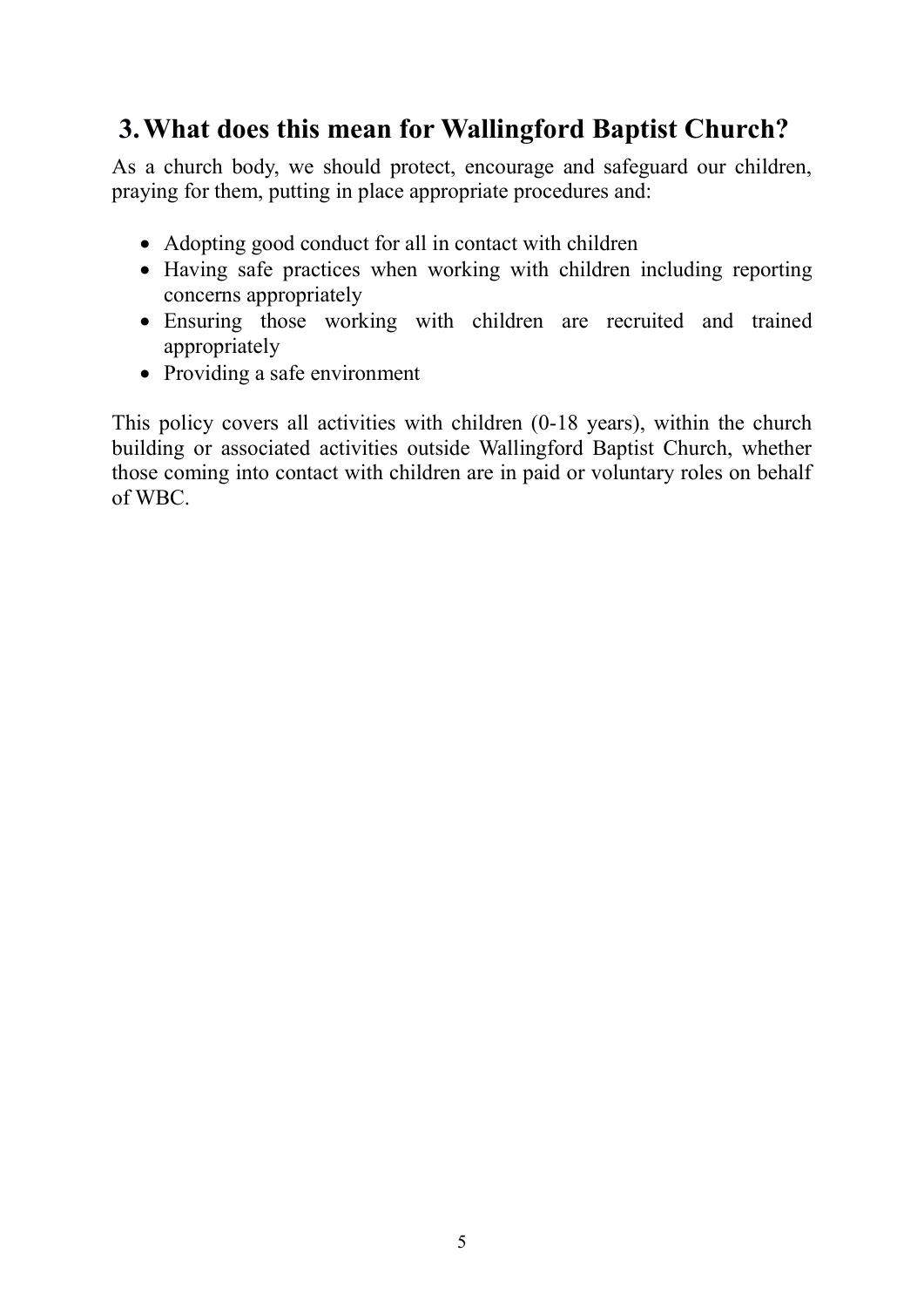### 3.What does this mean for Wallingford Baptist Church?

As a church body, we should protect, encourage and safeguard our children, praying for them, putting in place appropriate procedures and:

- Adopting good conduct for all in contact with children
- Having safe practices when working with children including reporting concerns appropriately
- Ensuring those working with children are recruited and trained appropriately
- Providing a safe environment

This policy covers all activities with children (0-18 years), within the church building or associated activities outside Wallingford Baptist Church, whether those coming into contact with children are in paid or voluntary roles on behalf of WBC.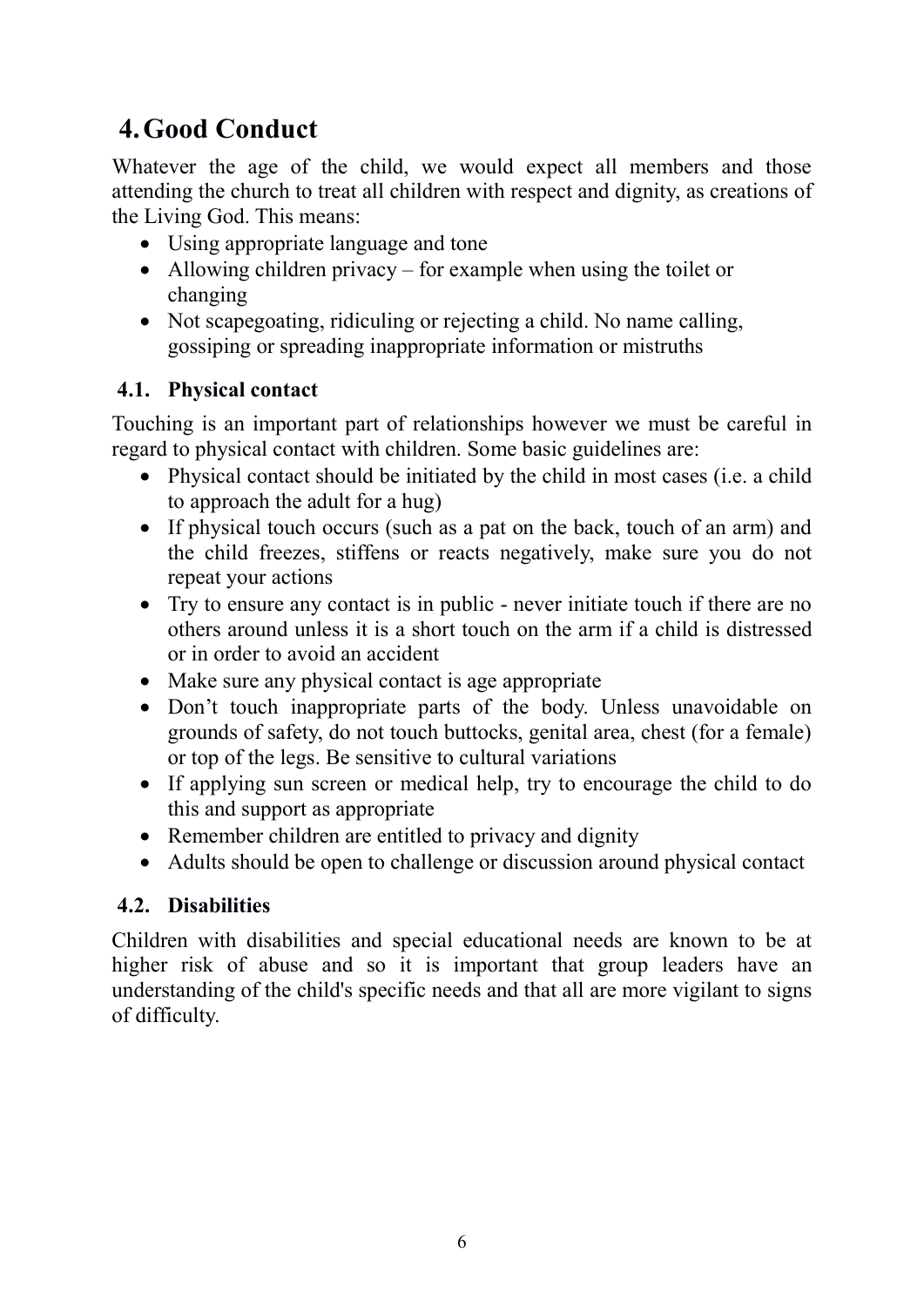### 4.Good Conduct

Whatever the age of the child, we would expect all members and those attending the church to treat all children with respect and dignity, as creations of the Living God. This means:

- Using appropriate language and tone
- Allowing children privacy for example when using the toilet or changing
- Not scapegoating, ridiculing or rejecting a child. No name calling, gossiping or spreading inappropriate information or mistruths

#### 4.1. Physical contact

Touching is an important part of relationships however we must be careful in regard to physical contact with children. Some basic guidelines are:

- Physical contact should be initiated by the child in most cases (i.e. a child to approach the adult for a hug)
- If physical touch occurs (such as a pat on the back, touch of an arm) and the child freezes, stiffens or reacts negatively, make sure you do not repeat your actions
- Try to ensure any contact is in public never initiate touch if there are no others around unless it is a short touch on the arm if a child is distressed or in order to avoid an accident
- Make sure any physical contact is age appropriate
- Don't touch inappropriate parts of the body. Unless unavoidable on grounds of safety, do not touch buttocks, genital area, chest (for a female) or top of the legs. Be sensitive to cultural variations
- If applying sun screen or medical help, try to encourage the child to do this and support as appropriate
- Remember children are entitled to privacy and dignity
- Adults should be open to challenge or discussion around physical contact

#### 4.2. Disabilities

Children with disabilities and special educational needs are known to be at higher risk of abuse and so it is important that group leaders have an understanding of the child's specific needs and that all are more vigilant to signs of difficulty.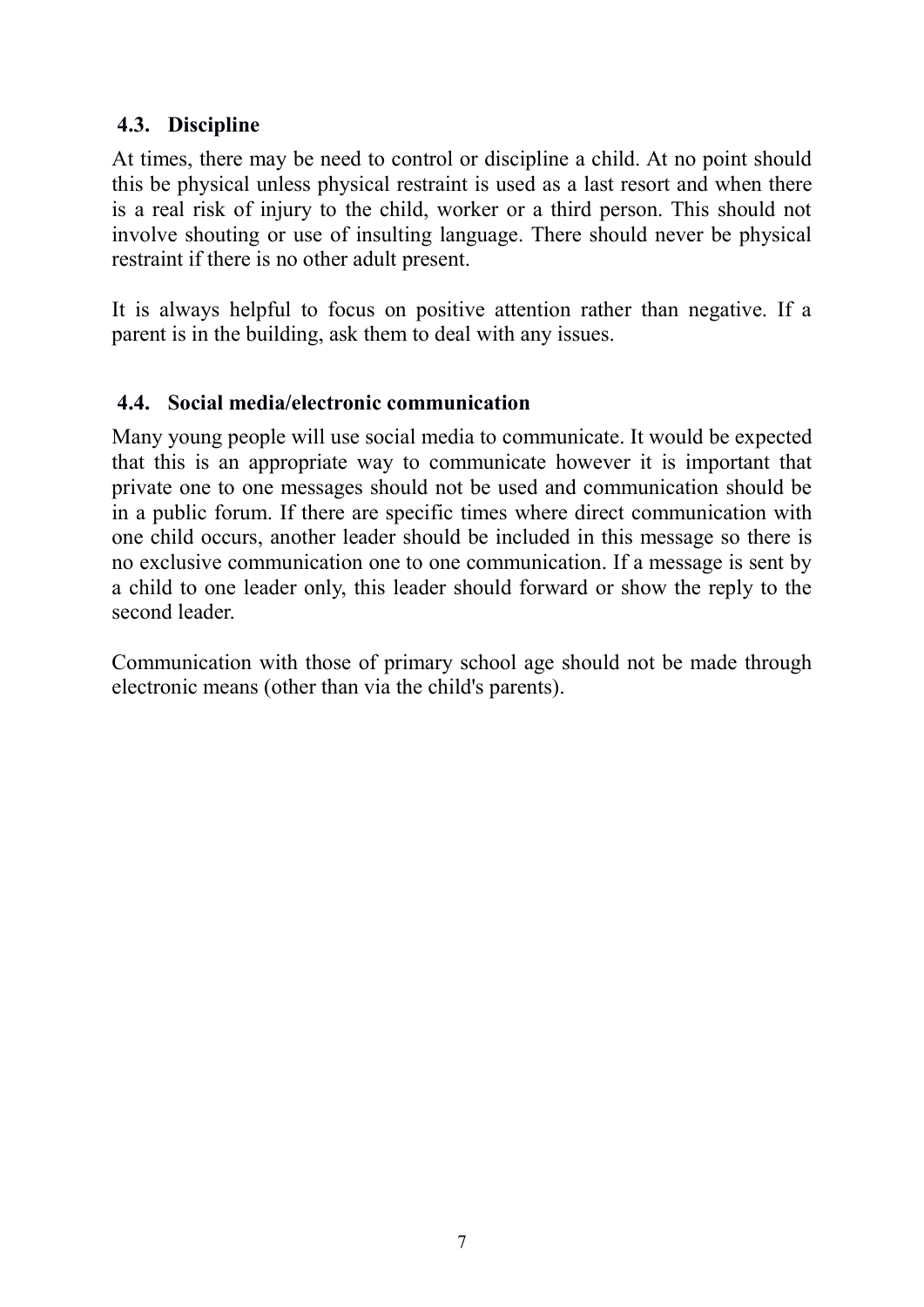#### 4.3. Discipline

At times, there may be need to control or discipline a child. At no point should this be physical unless physical restraint is used as a last resort and when there is a real risk of injury to the child, worker or a third person. This should not involve shouting or use of insulting language. There should never be physical restraint if there is no other adult present.

It is always helpful to focus on positive attention rather than negative. If a parent is in the building, ask them to deal with any issues.

#### 4.4. Social media/electronic communication

Many young people will use social media to communicate. It would be expected that this is an appropriate way to communicate however it is important that private one to one messages should not be used and communication should be in a public forum. If there are specific times where direct communication with one child occurs, another leader should be included in this message so there is no exclusive communication one to one communication. If a message is sent by a child to one leader only, this leader should forward or show the reply to the second leader.

Communication with those of primary school age should not be made through electronic means (other than via the child's parents).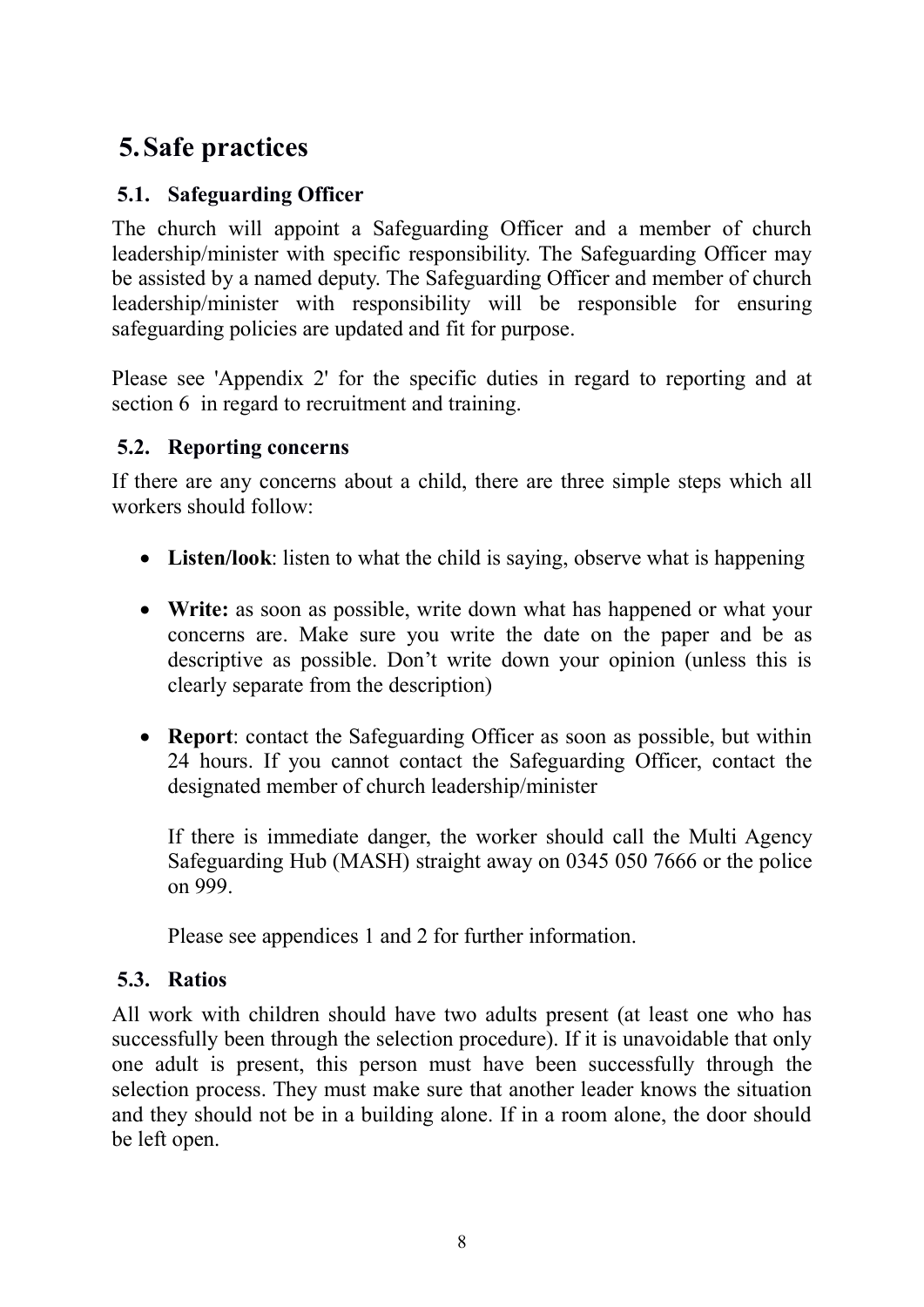### 5.Safe practices

#### 5.1. Safeguarding Officer

The church will appoint a Safeguarding Officer and a member of church leadership/minister with specific responsibility. The Safeguarding Officer may be assisted by a named deputy. The Safeguarding Officer and member of church leadership/minister with responsibility will be responsible for ensuring safeguarding policies are updated and fit for purpose.

Please see 'Appendix 2' for the specific duties in regard to reporting and at section 6 in regard to recruitment and training.

#### 5.2. Reporting concerns

If there are any concerns about a child, there are three simple steps which all workers should follow:

- Listen/look: listen to what the child is saying, observe what is happening
- Write: as soon as possible, write down what has happened or what your concerns are. Make sure you write the date on the paper and be as descriptive as possible. Don't write down your opinion (unless this is clearly separate from the description)
- Report: contact the Safeguarding Officer as soon as possible, but within 24 hours. If you cannot contact the Safeguarding Officer, contact the designated member of church leadership/minister

If there is immediate danger, the worker should call the Multi Agency Safeguarding Hub (MASH) straight away on 0345 050 7666 or the police on 999.

Please see appendices 1 and 2 for further information.

#### 5.3. Ratios

All work with children should have two adults present (at least one who has successfully been through the selection procedure). If it is unavoidable that only one adult is present, this person must have been successfully through the selection process. They must make sure that another leader knows the situation and they should not be in a building alone. If in a room alone, the door should be left open.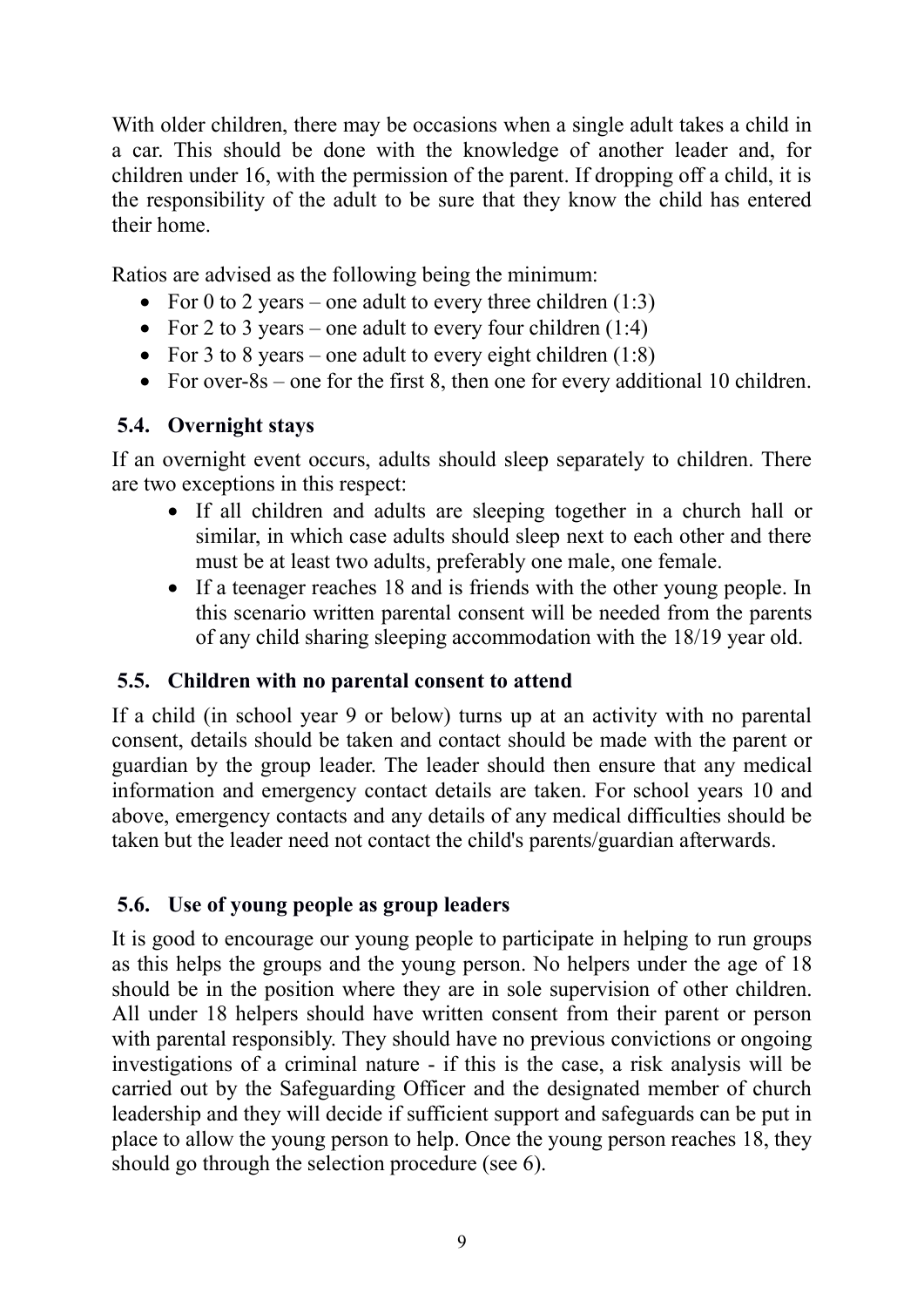With older children, there may be occasions when a single adult takes a child in a car. This should be done with the knowledge of another leader and, for children under 16, with the permission of the parent. If dropping off a child, it is the responsibility of the adult to be sure that they know the child has entered their home.

Ratios are advised as the following being the minimum:

- For 0 to 2 years one adult to every three children  $(1:3)$
- For 2 to 3 years one adult to every four children  $(1:4)$
- For 3 to 8 years one adult to every eight children  $(1:8)$
- For over-8s one for the first 8, then one for every additional 10 children.

#### 5.4. Overnight stays

If an overnight event occurs, adults should sleep separately to children. There are two exceptions in this respect:

- If all children and adults are sleeping together in a church hall or similar, in which case adults should sleep next to each other and there must be at least two adults, preferably one male, one female.
- If a teenager reaches 18 and is friends with the other young people. In this scenario written parental consent will be needed from the parents of any child sharing sleeping accommodation with the 18/19 year old.

#### 5.5. Children with no parental consent to attend

If a child (in school year 9 or below) turns up at an activity with no parental consent, details should be taken and contact should be made with the parent or guardian by the group leader. The leader should then ensure that any medical information and emergency contact details are taken. For school years 10 and above, emergency contacts and any details of any medical difficulties should be taken but the leader need not contact the child's parents/guardian afterwards.

#### 5.6. Use of young people as group leaders

It is good to encourage our young people to participate in helping to run groups as this helps the groups and the young person. No helpers under the age of 18 should be in the position where they are in sole supervision of other children. All under 18 helpers should have written consent from their parent or person with parental responsibly. They should have no previous convictions or ongoing investigations of a criminal nature - if this is the case, a risk analysis will be carried out by the Safeguarding Officer and the designated member of church leadership and they will decide if sufficient support and safeguards can be put in place to allow the young person to help. Once the young person reaches 18, they should go through the selection procedure (see 6).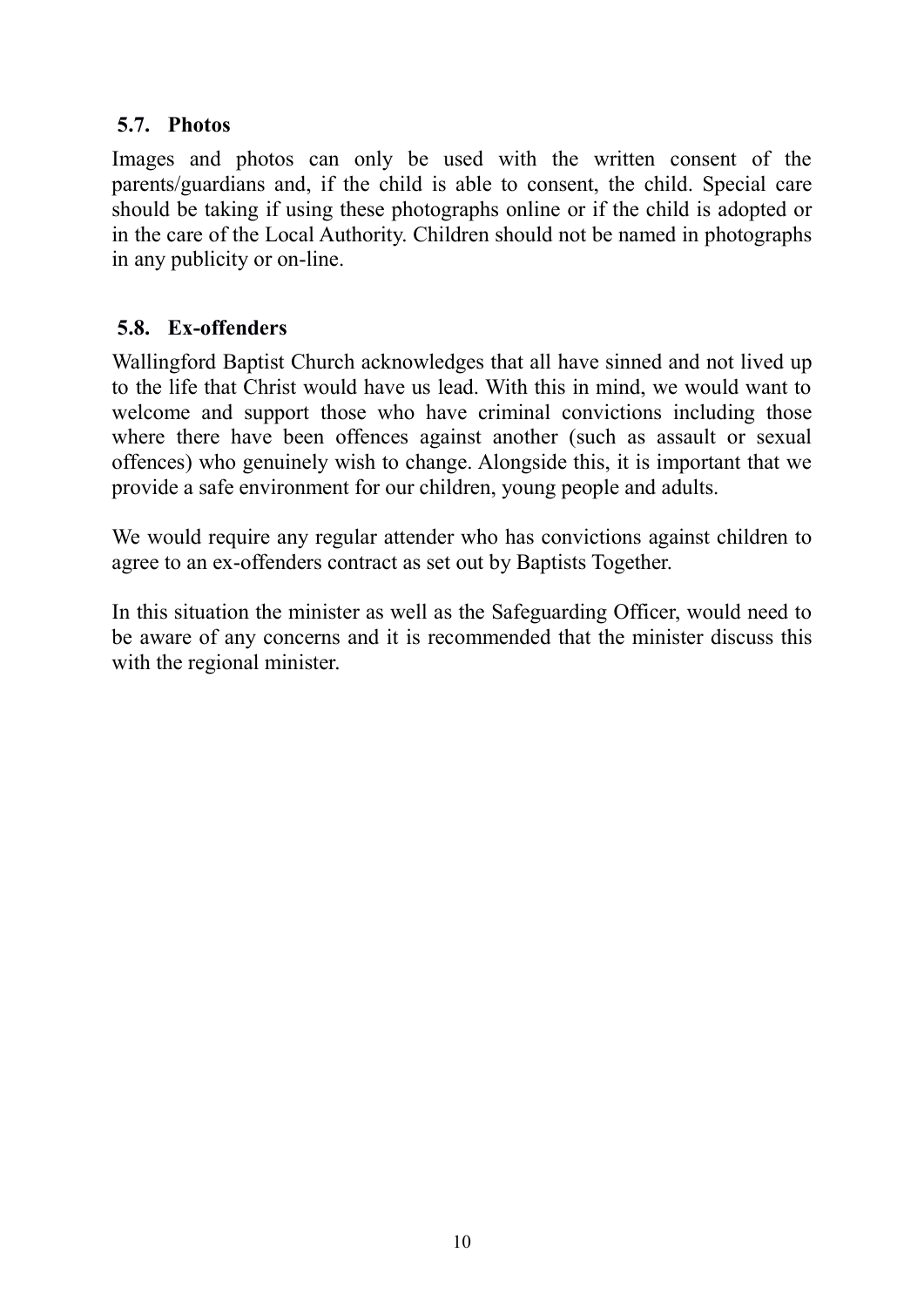#### 5.7. Photos

Images and photos can only be used with the written consent of the parents/guardians and, if the child is able to consent, the child. Special care should be taking if using these photographs online or if the child is adopted or in the care of the Local Authority. Children should not be named in photographs in any publicity or on-line.

#### 5.8. Ex-offenders

Wallingford Baptist Church acknowledges that all have sinned and not lived up to the life that Christ would have us lead. With this in mind, we would want to welcome and support those who have criminal convictions including those where there have been offences against another (such as assault or sexual offences) who genuinely wish to change. Alongside this, it is important that we provide a safe environment for our children, young people and adults.

We would require any regular attender who has convictions against children to agree to an ex-offenders contract as set out by Baptists Together.

In this situation the minister as well as the Safeguarding Officer, would need to be aware of any concerns and it is recommended that the minister discuss this with the regional minister.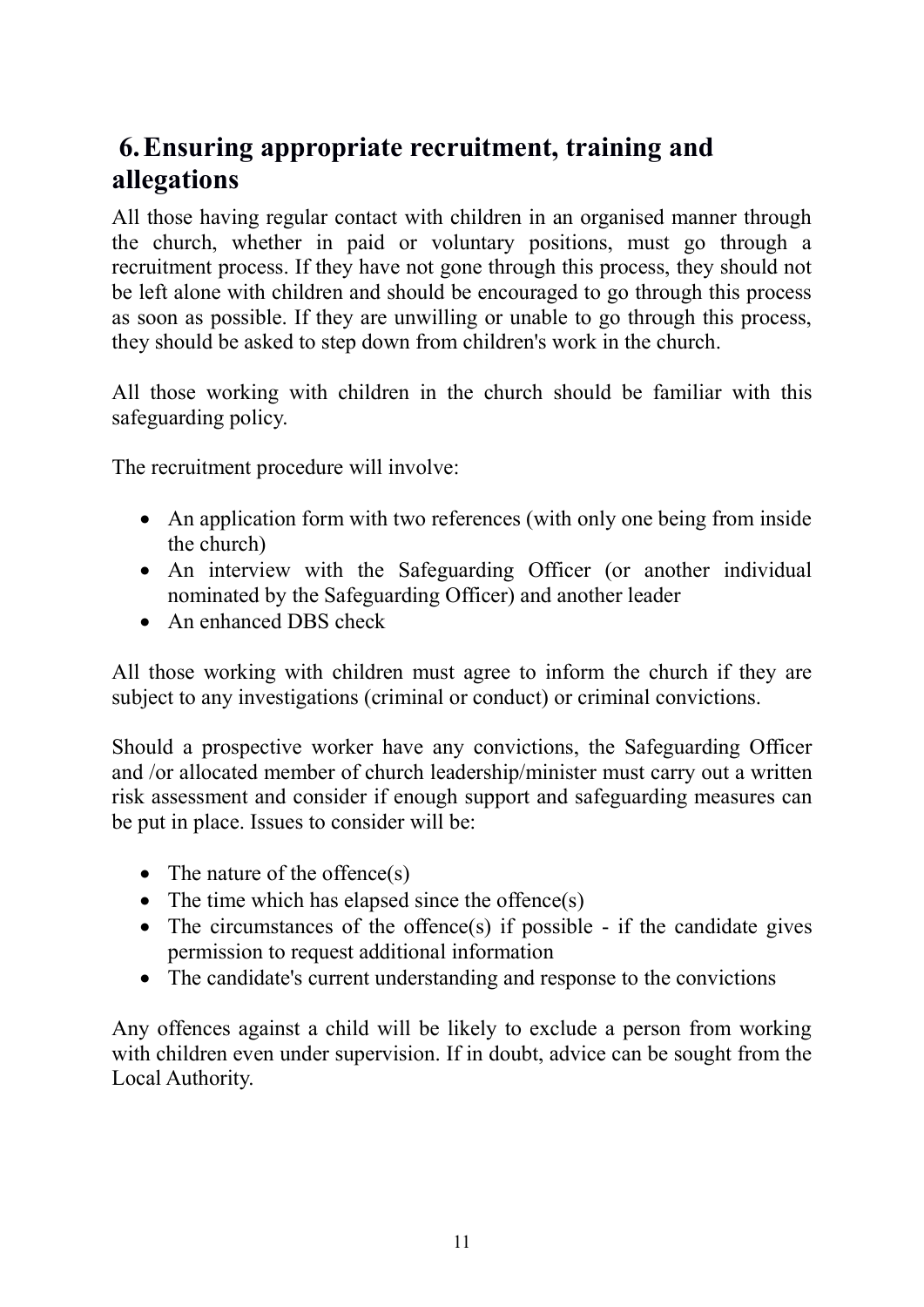### 6.Ensuring appropriate recruitment, training and allegations

All those having regular contact with children in an organised manner through the church, whether in paid or voluntary positions, must go through a recruitment process. If they have not gone through this process, they should not be left alone with children and should be encouraged to go through this process as soon as possible. If they are unwilling or unable to go through this process, they should be asked to step down from children's work in the church.

All those working with children in the church should be familiar with this safeguarding policy.

The recruitment procedure will involve:

- An application form with two references (with only one being from inside the church)
- An interview with the Safeguarding Officer (or another individual nominated by the Safeguarding Officer) and another leader
- An enhanced DBS check

All those working with children must agree to inform the church if they are subject to any investigations (criminal or conduct) or criminal convictions.

Should a prospective worker have any convictions, the Safeguarding Officer and /or allocated member of church leadership/minister must carry out a written risk assessment and consider if enough support and safeguarding measures can be put in place. Issues to consider will be:

- The nature of the offence $(s)$
- The time which has elapsed since the offence(s)
- The circumstances of the offence(s) if possible if the candidate gives permission to request additional information
- The candidate's current understanding and response to the convictions

Any offences against a child will be likely to exclude a person from working with children even under supervision. If in doubt, advice can be sought from the Local Authority.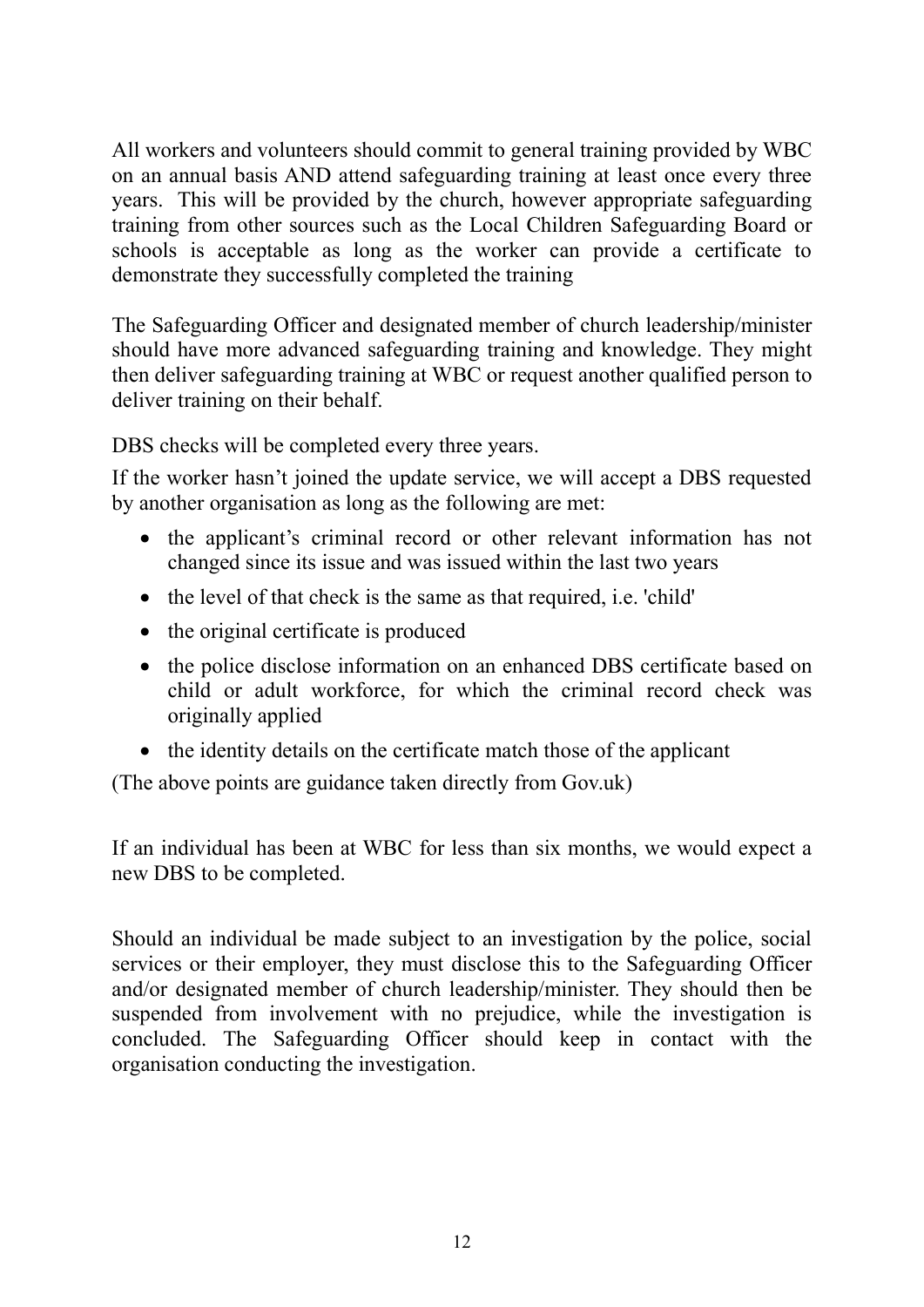All workers and volunteers should commit to general training provided by WBC on an annual basis AND attend safeguarding training at least once every three years. This will be provided by the church, however appropriate safeguarding training from other sources such as the Local Children Safeguarding Board or schools is acceptable as long as the worker can provide a certificate to demonstrate they successfully completed the training

The Safeguarding Officer and designated member of church leadership/minister should have more advanced safeguarding training and knowledge. They might then deliver safeguarding training at WBC or request another qualified person to deliver training on their behalf.

DBS checks will be completed every three years.

If the worker hasn't joined the update service, we will accept a DBS requested by another organisation as long as the following are met:

- the applicant's criminal record or other relevant information has not changed since its issue and was issued within the last two years
- the level of that check is the same as that required, i.e. 'child'
- the original certificate is produced
- the police disclose information on an enhanced DBS certificate based on child or adult workforce, for which the criminal record check was originally applied
- the identity details on the certificate match those of the applicant

(The above points are guidance taken directly from Gov.uk)

If an individual has been at WBC for less than six months, we would expect a new DBS to be completed.

Should an individual be made subject to an investigation by the police, social services or their employer, they must disclose this to the Safeguarding Officer and/or designated member of church leadership/minister. They should then be suspended from involvement with no prejudice, while the investigation is concluded. The Safeguarding Officer should keep in contact with the organisation conducting the investigation.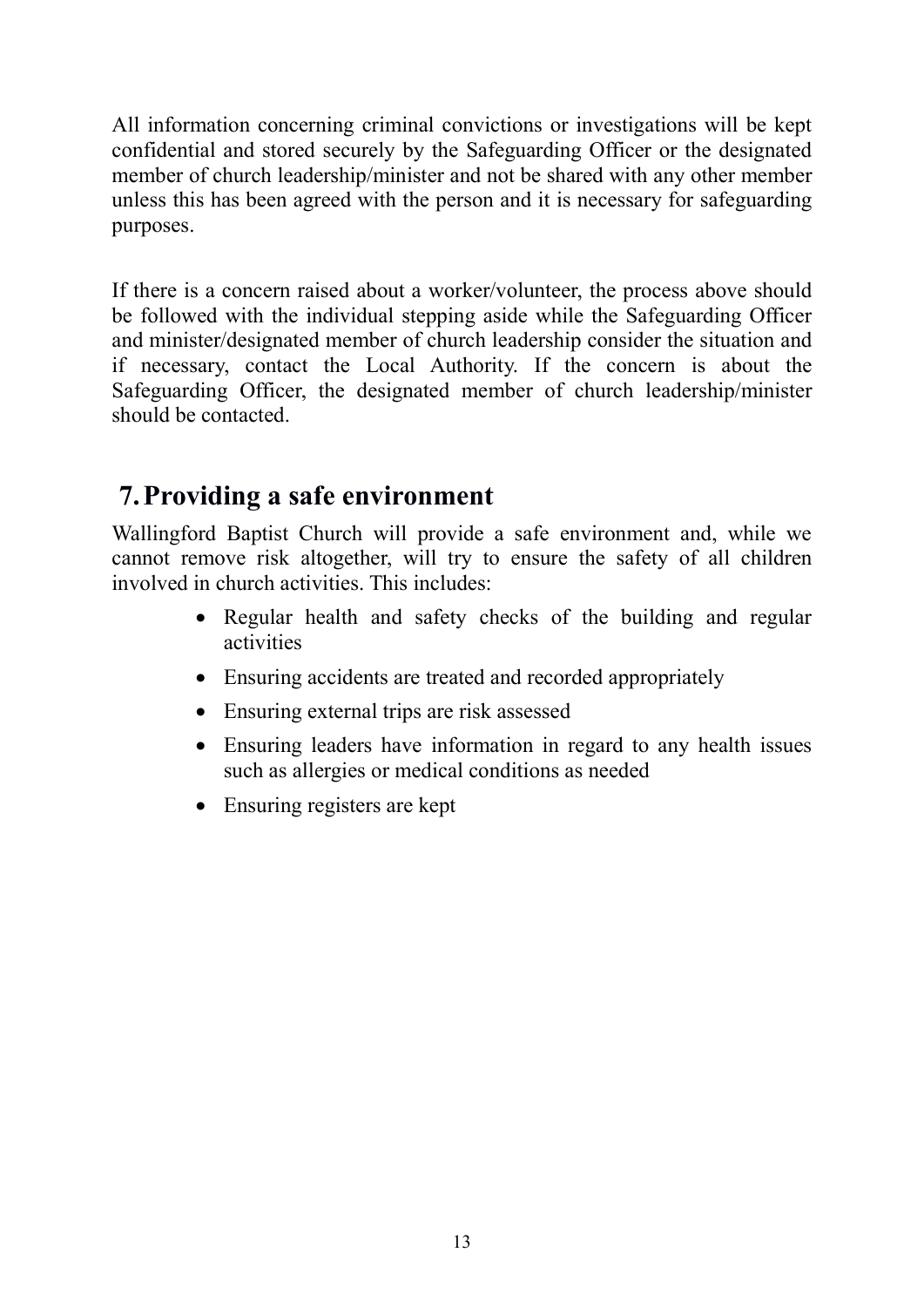All information concerning criminal convictions or investigations will be kept confidential and stored securely by the Safeguarding Officer or the designated member of church leadership/minister and not be shared with any other member unless this has been agreed with the person and it is necessary for safeguarding purposes.

If there is a concern raised about a worker/volunteer, the process above should be followed with the individual stepping aside while the Safeguarding Officer and minister/designated member of church leadership consider the situation and if necessary, contact the Local Authority. If the concern is about the Safeguarding Officer, the designated member of church leadership/minister should be contacted.

### 7.Providing a safe environment

Wallingford Baptist Church will provide a safe environment and, while we cannot remove risk altogether, will try to ensure the safety of all children involved in church activities. This includes:

- Regular health and safety checks of the building and regular activities
- Ensuring accidents are treated and recorded appropriately
- Ensuring external trips are risk assessed
- Ensuring leaders have information in regard to any health issues such as allergies or medical conditions as needed
- Ensuring registers are kept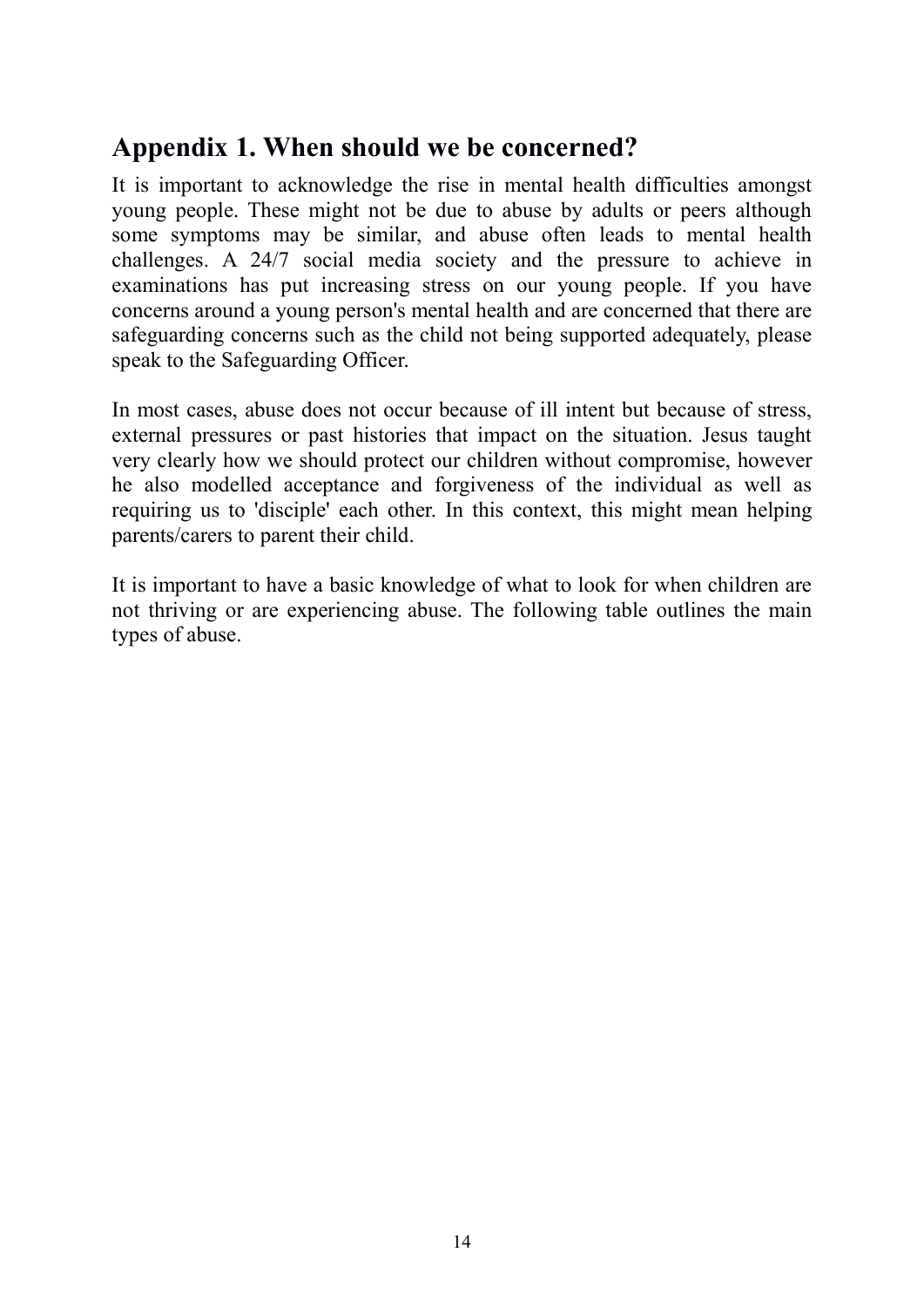### Appendix 1. When should we be concerned?

It is important to acknowledge the rise in mental health difficulties amongst young people. These might not be due to abuse by adults or peers although some symptoms may be similar, and abuse often leads to mental health challenges. A 24/7 social media society and the pressure to achieve in examinations has put increasing stress on our young people. If you have concerns around a young person's mental health and are concerned that there are safeguarding concerns such as the child not being supported adequately, please speak to the Safeguarding Officer.

In most cases, abuse does not occur because of ill intent but because of stress, external pressures or past histories that impact on the situation. Jesus taught very clearly how we should protect our children without compromise, however he also modelled acceptance and forgiveness of the individual as well as requiring us to 'disciple' each other. In this context, this might mean helping parents/carers to parent their child.

It is important to have a basic knowledge of what to look for when children are not thriving or are experiencing abuse. The following table outlines the main types of abuse.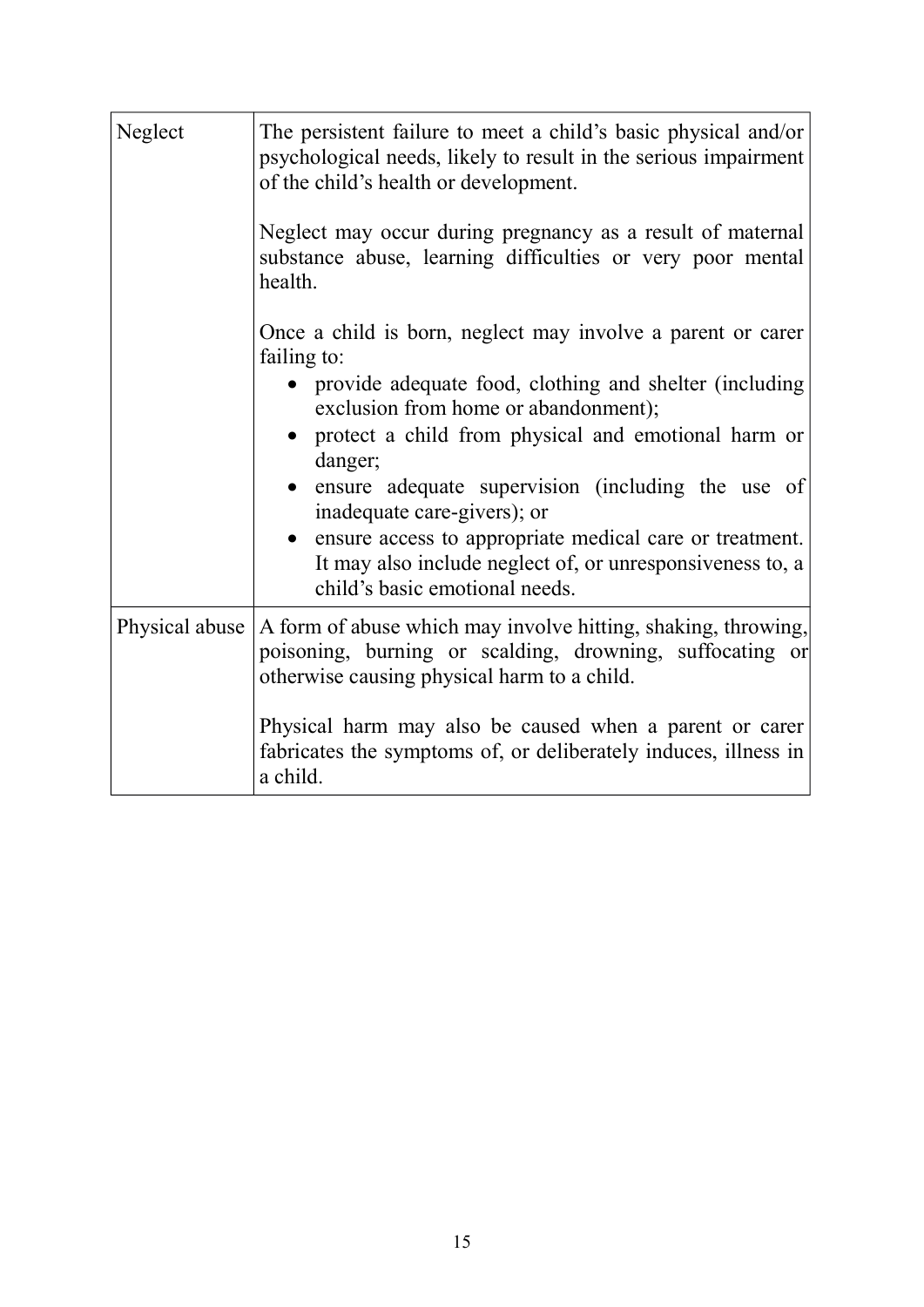| Neglect        | The persistent failure to meet a child's basic physical and/or<br>psychological needs, likely to result in the serious impairment<br>of the child's health or development.<br>Neglect may occur during pregnancy as a result of maternal<br>substance abuse, learning difficulties or very poor mental<br>health.                                                                                                                                                                                |
|----------------|--------------------------------------------------------------------------------------------------------------------------------------------------------------------------------------------------------------------------------------------------------------------------------------------------------------------------------------------------------------------------------------------------------------------------------------------------------------------------------------------------|
|                | Once a child is born, neglect may involve a parent or carer<br>failing to:<br>• provide adequate food, clothing and shelter (including<br>exclusion from home or abandonment);<br>protect a child from physical and emotional harm or<br>danger;<br>ensure adequate supervision (including the use of<br>inadequate care-givers); or<br>• ensure access to appropriate medical care or treatment.<br>It may also include neglect of, or unresponsiveness to, a<br>child's basic emotional needs. |
| Physical abuse | A form of abuse which may involve hitting, shaking, throwing,<br>poisoning, burning or scalding, drowning, suffocating or<br>otherwise causing physical harm to a child.<br>Physical harm may also be caused when a parent or carer<br>fabricates the symptoms of, or deliberately induces, illness in<br>a child.                                                                                                                                                                               |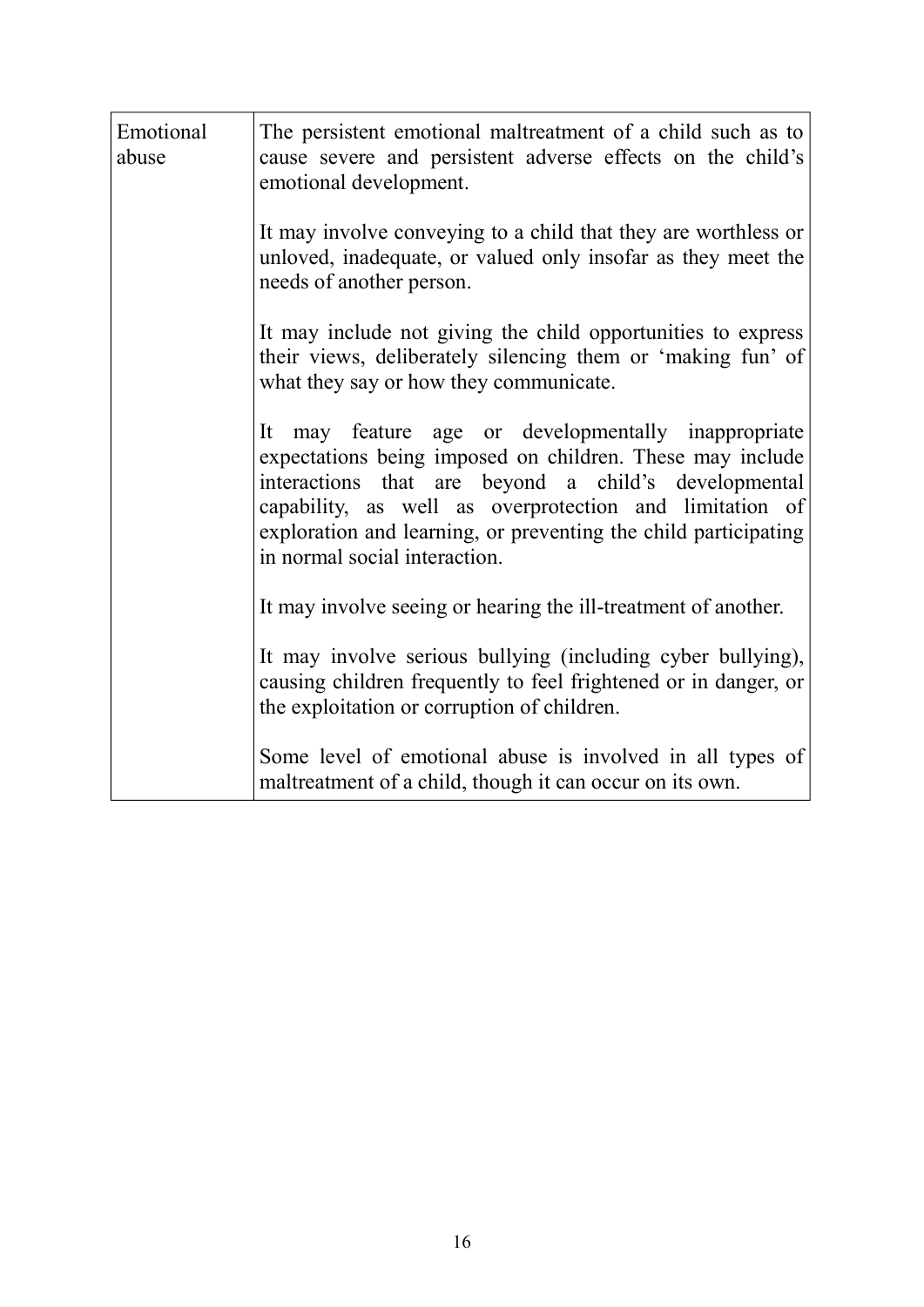| Emotional<br>abuse | The persistent emotional maltreatment of a child such as to<br>cause severe and persistent adverse effects on the child's<br>emotional development.                                                                                                                                                                                     |
|--------------------|-----------------------------------------------------------------------------------------------------------------------------------------------------------------------------------------------------------------------------------------------------------------------------------------------------------------------------------------|
|                    | It may involve conveying to a child that they are worthless or<br>unloved, inadequate, or valued only insofar as they meet the<br>needs of another person.                                                                                                                                                                              |
|                    | It may include not giving the child opportunities to express<br>their views, deliberately silencing them or 'making fun' of<br>what they say or how they communicate.                                                                                                                                                                   |
|                    | It may feature age or developmentally inappropriate<br>expectations being imposed on children. These may include<br>interactions that are beyond a child's developmental<br>capability, as well as overprotection and limitation of<br>exploration and learning, or preventing the child participating<br>in normal social interaction. |
|                    | It may involve seeing or hearing the ill-treatment of another.                                                                                                                                                                                                                                                                          |
|                    | It may involve serious bullying (including cyber bullying),<br>causing children frequently to feel frightened or in danger, or<br>the exploitation or corruption of children.                                                                                                                                                           |
|                    | Some level of emotional abuse is involved in all types of<br>maltreatment of a child, though it can occur on its own.                                                                                                                                                                                                                   |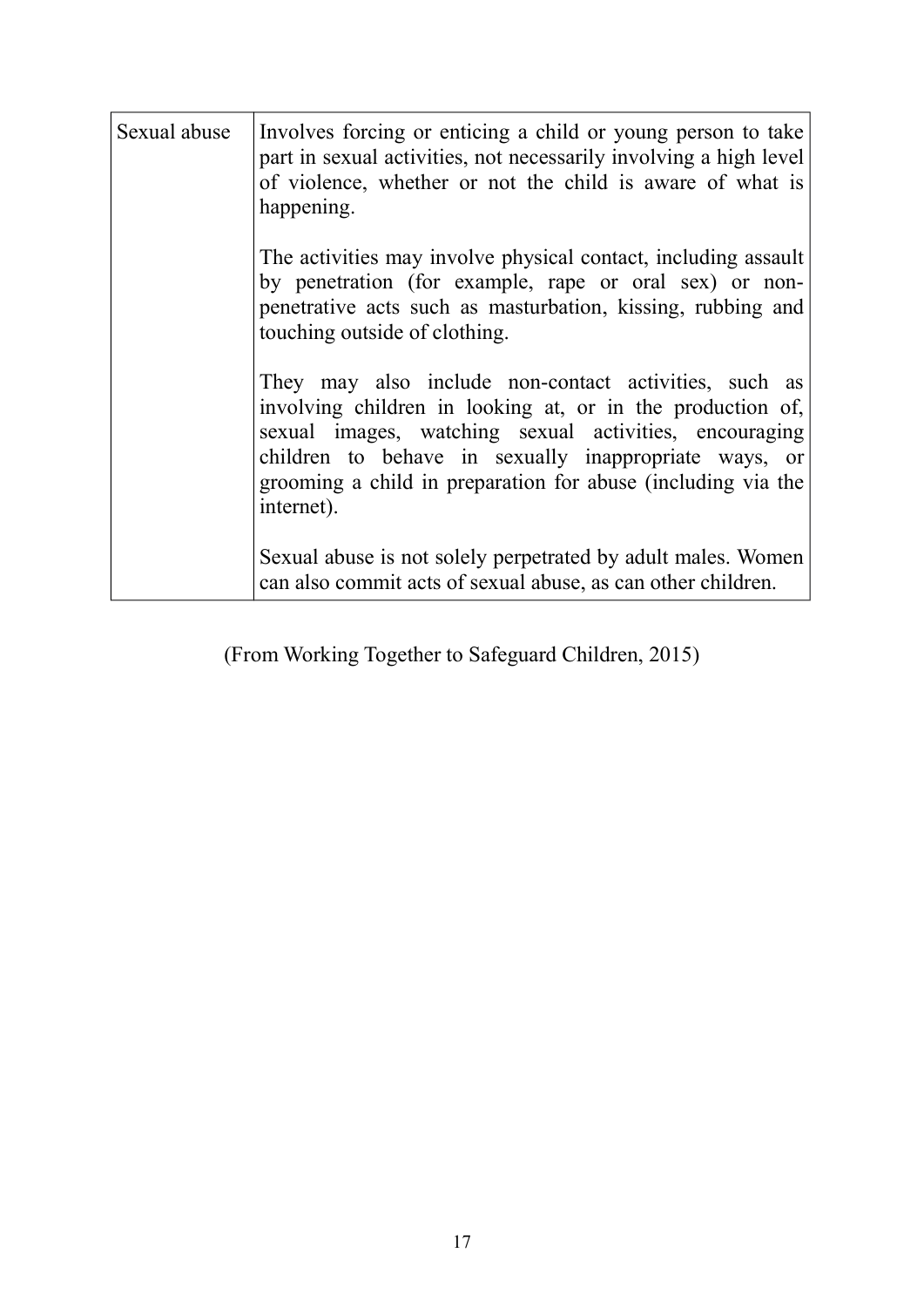| Sexual abuse | Involves forcing or enticing a child or young person to take<br>part in sexual activities, not necessarily involving a high level<br>of violence, whether or not the child is aware of what is<br>happening.                                                                                                         |
|--------------|----------------------------------------------------------------------------------------------------------------------------------------------------------------------------------------------------------------------------------------------------------------------------------------------------------------------|
|              | The activities may involve physical contact, including assault<br>by penetration (for example, rape or oral sex) or non-<br>penetrative acts such as masturbation, kissing, rubbing and<br>touching outside of clothing.                                                                                             |
|              | They may also include non-contact activities, such as<br>involving children in looking at, or in the production of,<br>sexual images, watching sexual activities, encouraging<br>children to behave in sexually inappropriate ways, or<br>grooming a child in preparation for abuse (including via the<br>internet). |
|              | Sexual abuse is not solely perpetrated by adult males. Women<br>can also commit acts of sexual abuse, as can other children.                                                                                                                                                                                         |

(From Working Together to Safeguard Children, 2015)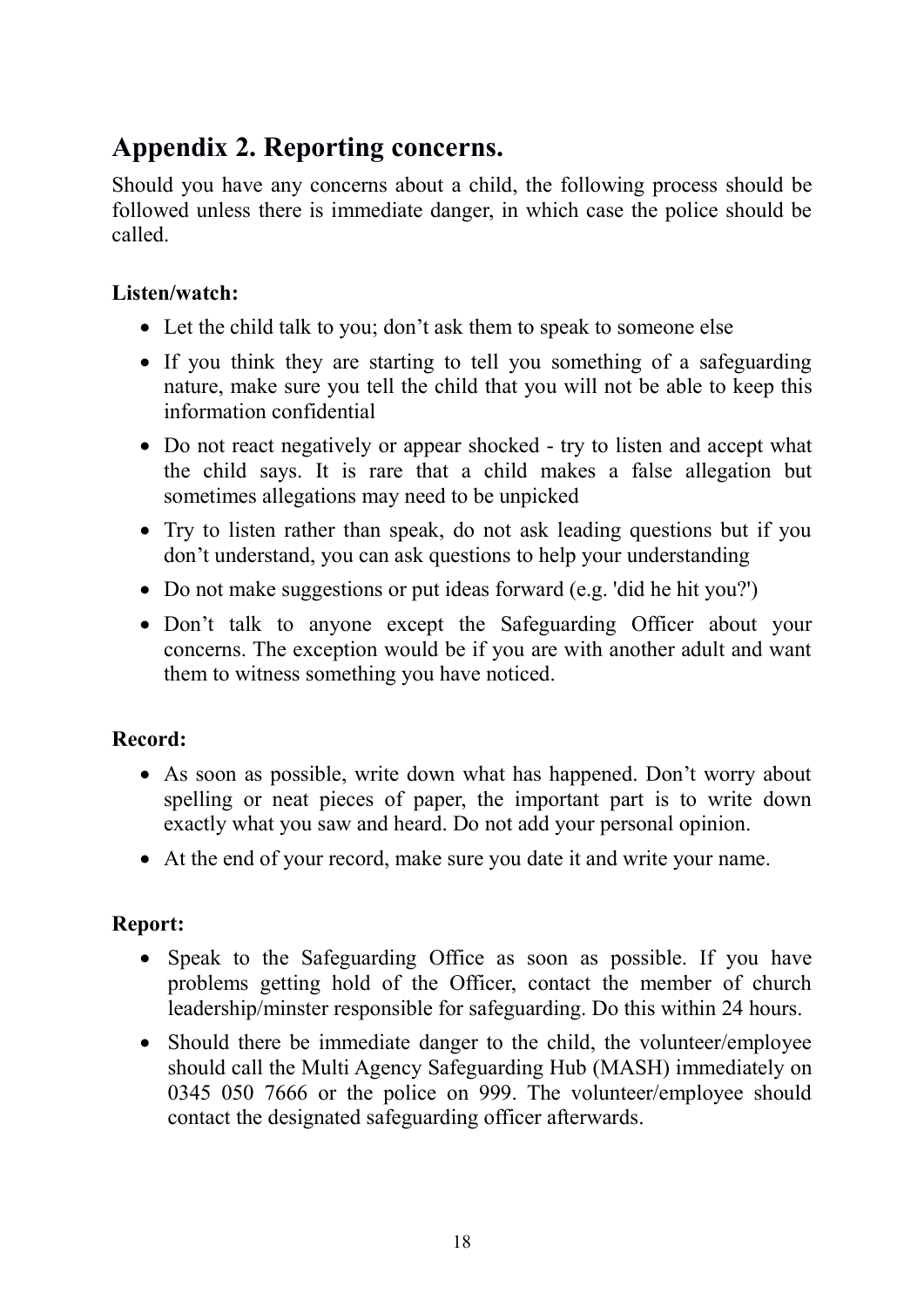### Appendix 2. Reporting concerns.

Should you have any concerns about a child, the following process should be followed unless there is immediate danger, in which case the police should be called.

#### Listen/watch:

- Let the child talk to you; don't ask them to speak to someone else
- If you think they are starting to tell you something of a safeguarding nature, make sure you tell the child that you will not be able to keep this information confidential
- Do not react negatively or appear shocked try to listen and accept what the child says. It is rare that a child makes a false allegation but sometimes allegations may need to be unpicked
- Try to listen rather than speak, do not ask leading questions but if you don't understand, you can ask questions to help your understanding
- Do not make suggestions or put ideas forward (e.g. 'did he hit you?')
- Don't talk to anyone except the Safeguarding Officer about your concerns. The exception would be if you are with another adult and want them to witness something you have noticed.

#### Record:

- As soon as possible, write down what has happened. Don't worry about spelling or neat pieces of paper, the important part is to write down exactly what you saw and heard. Do not add your personal opinion.
- At the end of your record, make sure you date it and write your name.

#### Report:

- Speak to the Safeguarding Office as soon as possible. If you have problems getting hold of the Officer, contact the member of church leadership/minster responsible for safeguarding. Do this within 24 hours.
- Should there be immediate danger to the child, the volunteer/employee should call the Multi Agency Safeguarding Hub (MASH) immediately on 0345 050 7666 or the police on 999. The volunteer/employee should contact the designated safeguarding officer afterwards.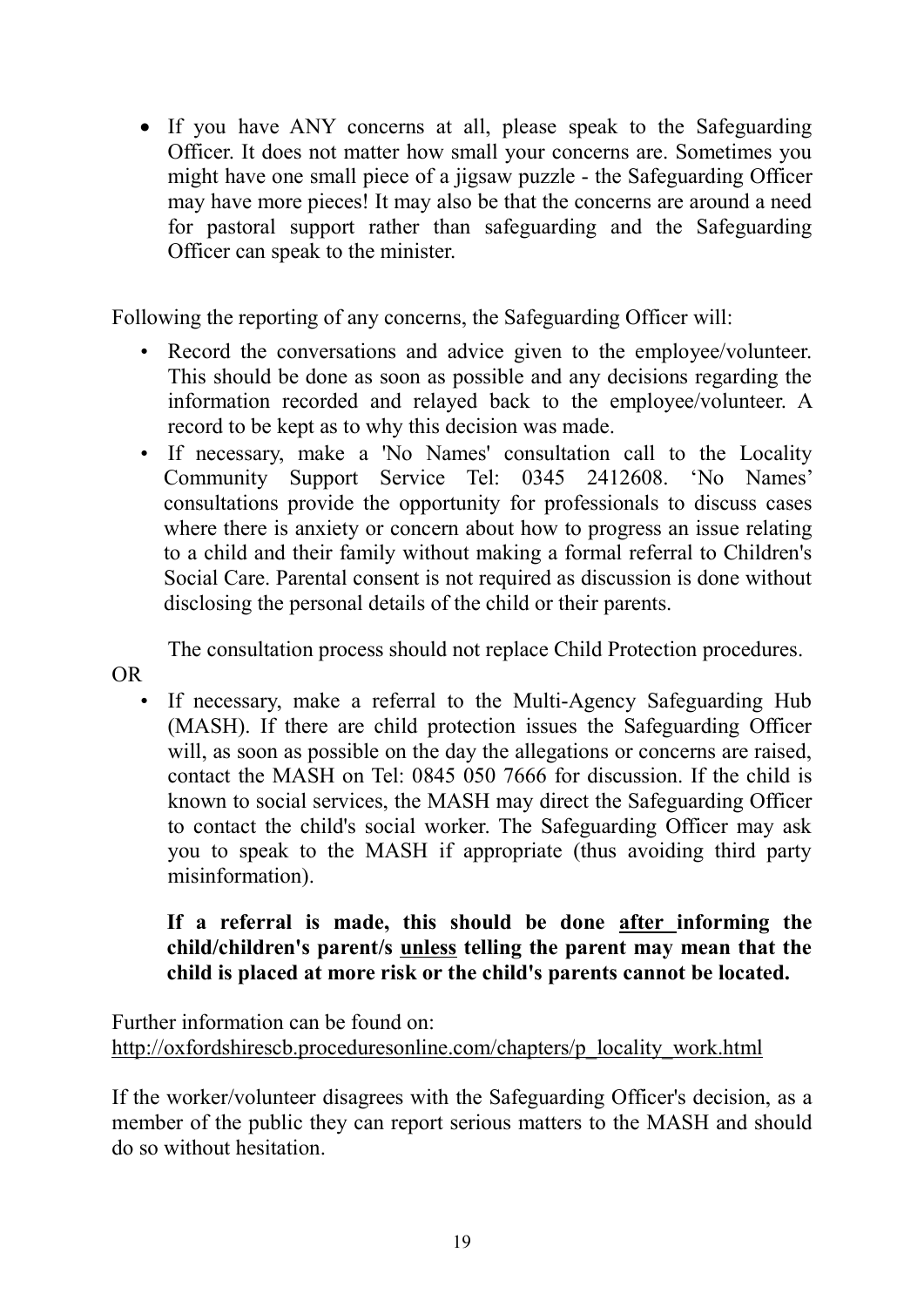If you have ANY concerns at all, please speak to the Safeguarding Officer. It does not matter how small your concerns are. Sometimes you might have one small piece of a jigsaw puzzle - the Safeguarding Officer may have more pieces! It may also be that the concerns are around a need for pastoral support rather than safeguarding and the Safeguarding Officer can speak to the minister.

Following the reporting of any concerns, the Safeguarding Officer will:

- Record the conversations and advice given to the employee/volunteer. This should be done as soon as possible and any decisions regarding the information recorded and relayed back to the employee/volunteer. A record to be kept as to why this decision was made.
- If necessary, make a 'No Names' consultation call to the Locality Community Support Service Tel: 0345 2412608. 'No Names' consultations provide the opportunity for professionals to discuss cases where there is anxiety or concern about how to progress an issue relating to a child and their family without making a formal referral to Children's Social Care. Parental consent is not required as discussion is done without disclosing the personal details of the child or their parents.

The consultation process should not replace Child Protection procedures.

OR

• If necessary, make a referral to the Multi-Agency Safeguarding Hub (MASH). If there are child protection issues the Safeguarding Officer will, as soon as possible on the day the allegations or concerns are raised, contact the MASH on Tel: 0845 050 7666 for discussion. If the child is known to social services, the MASH may direct the Safeguarding Officer to contact the child's social worker. The Safeguarding Officer may ask you to speak to the MASH if appropriate (thus avoiding third party misinformation).

#### If a referral is made, this should be done after informing the child/children's parent/s unless telling the parent may mean that the child is placed at more risk or the child's parents cannot be located.

Further information can be found on: http://oxfordshirescb.proceduresonline.com/chapters/p\_locality\_work.html

If the worker/volunteer disagrees with the Safeguarding Officer's decision, as a member of the public they can report serious matters to the MASH and should do so without hesitation.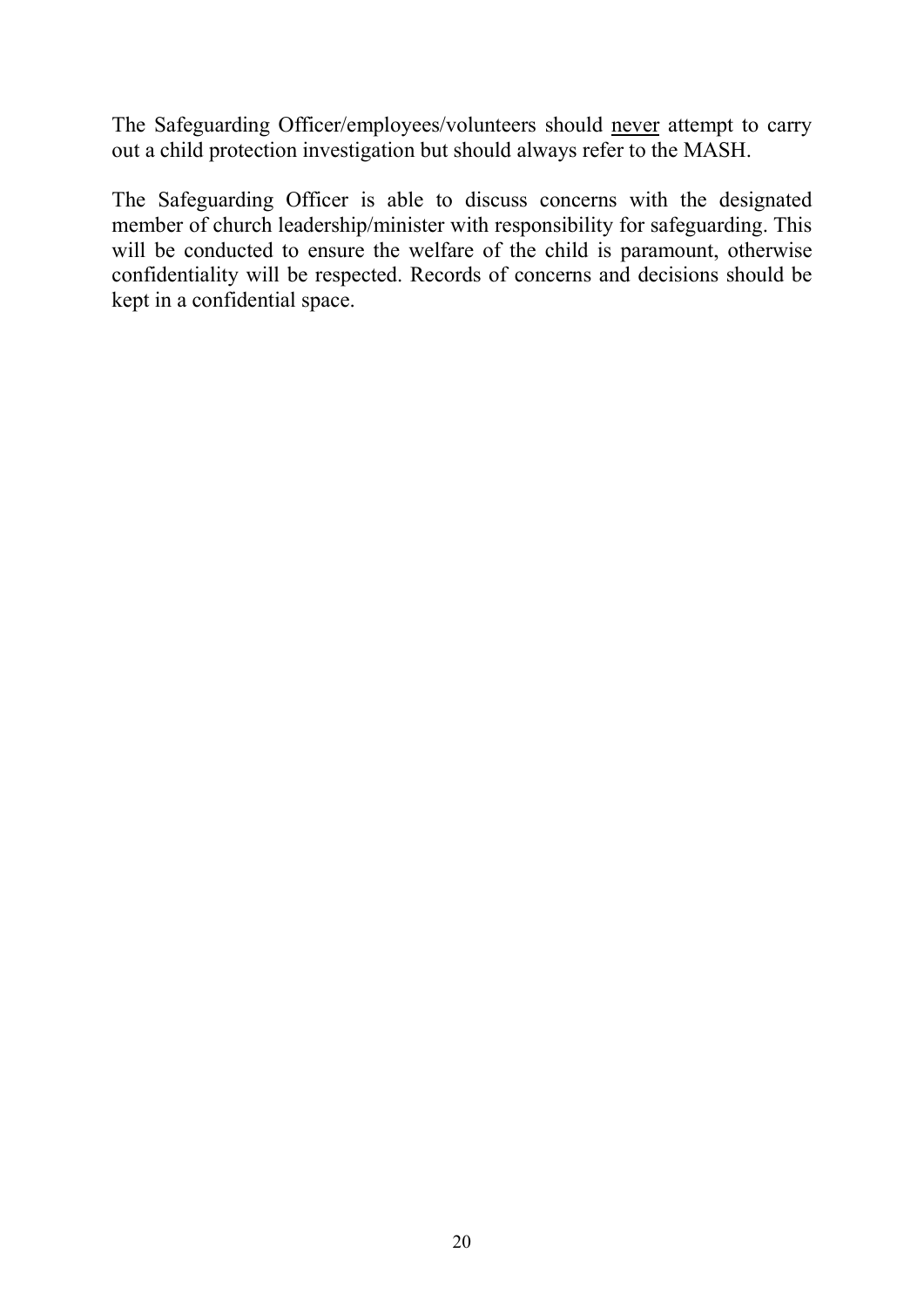The Safeguarding Officer/employees/volunteers should never attempt to carry out a child protection investigation but should always refer to the MASH.

The Safeguarding Officer is able to discuss concerns with the designated member of church leadership/minister with responsibility for safeguarding. This will be conducted to ensure the welfare of the child is paramount, otherwise confidentiality will be respected. Records of concerns and decisions should be kept in a confidential space.